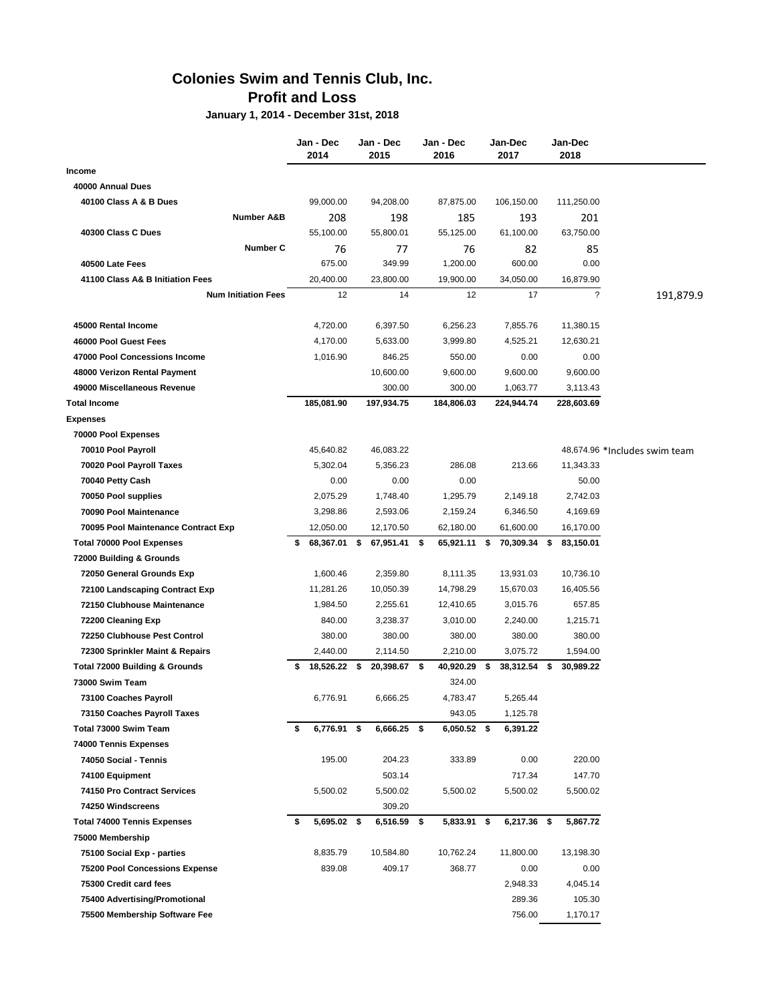## **Colonies Swim and Tennis Club, Inc. Profit and Loss**

**January 1, 2014 - December 31st, 2018**

|                                       | Jan - Dec<br>2014  |      | Jan - Dec<br>2015 | Jan - Dec<br>2016 | Jan-Dec<br>2017 | Jan-Dec<br>2018          |                               |
|---------------------------------------|--------------------|------|-------------------|-------------------|-----------------|--------------------------|-------------------------------|
| Income                                |                    |      |                   |                   |                 |                          |                               |
| 40000 Annual Dues                     |                    |      |                   |                   |                 |                          |                               |
| 40100 Class A & B Dues                | 99,000.00          |      | 94,208.00         | 87,875.00         | 106,150.00      | 111,250.00               |                               |
| <b>Number A&amp;B</b>                 | 208                |      | 198               | 185               | 193             | 201                      |                               |
| 40300 Class C Dues                    | 55,100.00          |      | 55,800.01         | 55,125.00         | 61,100.00       | 63,750.00                |                               |
| Number C                              | 76                 |      | 77                | 76                | 82              | 85                       |                               |
| 40500 Late Fees                       | 675.00             |      | 349.99            | 1.200.00          | 600.00          | 0.00                     |                               |
| 41100 Class A& B Initiation Fees      | 20,400.00          |      | 23,800.00         | 19,900.00         | 34,050.00       | 16.879.90                |                               |
| <b>Num Initiation Fees</b>            | 12                 |      | 14                | 12                | 17              | $\overline{\phantom{a}}$ | 191,879.9                     |
| 45000 Rental Income                   | 4,720.00           |      | 6,397.50          | 6,256.23          | 7,855.76        | 11,380.15                |                               |
| 46000 Pool Guest Fees                 | 4,170.00           |      | 5,633.00          | 3,999.80          | 4,525.21        | 12,630.21                |                               |
| 47000 Pool Concessions Income         | 1,016.90           |      | 846.25            | 550.00            | 0.00            | 0.00                     |                               |
| 48000 Verizon Rental Payment          |                    |      | 10,600.00         | 9,600.00          | 9,600.00        | 9,600.00                 |                               |
| 49000 Miscellaneous Revenue           |                    |      | 300.00            | 300.00            | 1,063.77        | 3,113.43                 |                               |
| <b>Total Income</b>                   | 185,081.90         |      | 197,934.75        | 184,806.03        | 224,944.74      | 228,603.69               |                               |
| <b>Expenses</b>                       |                    |      |                   |                   |                 |                          |                               |
| 70000 Pool Expenses                   |                    |      |                   |                   |                 |                          |                               |
| 70010 Pool Payroll                    | 45,640.82          |      | 46,083.22         |                   |                 |                          | 48,674.96 *Includes swim team |
| 70020 Pool Payroll Taxes              | 5,302.04           |      | 5,356.23          | 286.08            | 213.66          | 11,343.33                |                               |
| 70040 Petty Cash                      | 0.00               |      | 0.00              | 0.00              |                 | 50.00                    |                               |
| 70050 Pool supplies                   | 2,075.29           |      | 1,748.40          | 1,295.79          | 2,149.18        | 2,742.03                 |                               |
| 70090 Pool Maintenance                | 3,298.86           |      | 2,593.06          | 2,159.24          | 6,346.50        | 4,169.69                 |                               |
| 70095 Pool Maintenance Contract Exp   | 12,050.00          |      | 12,170.50         | 62,180.00         | 61,600.00       | 16,170.00                |                               |
| <b>Total 70000 Pool Expenses</b>      | 68,367.01 \$<br>\$ |      | 67,951.41 \$      | 65,921.11 \$      | 70,309.34 \$    | 83,150.01                |                               |
| 72000 Building & Grounds              |                    |      |                   |                   |                 |                          |                               |
| 72050 General Grounds Exp             | 1,600.46           |      | 2,359.80          | 8,111.35          | 13,931.03       | 10,736.10                |                               |
| 72100 Landscaping Contract Exp        | 11,281.26          |      | 10,050.39         | 14,798.29         | 15,670.03       | 16,405.56                |                               |
| 72150 Clubhouse Maintenance           | 1,984.50           |      | 2,255.61          | 12,410.65         | 3,015.76        | 657.85                   |                               |
| 72200 Cleaning Exp                    | 840.00             |      | 3,238.37          | 3,010.00          | 2,240.00        | 1,215.71                 |                               |
| 72250 Clubhouse Pest Control          | 380.00             |      | 380.00            | 380.00            | 380.00          | 380.00                   |                               |
| 72300 Sprinkler Maint & Repairs       | 2,440.00           |      | 2,114.50          | 2,210.00          | 3,075.72        | 1,594.00                 |                               |
| Total 72000 Building & Grounds        | 18,526.22<br>\$    | - \$ | 20,398.67 \$      | 40,920.29         | \$<br>38,312.54 | \$<br>30,989.22          |                               |
| 73000 Swim Team                       |                    |      |                   | 324.00            |                 |                          |                               |
| 73100 Coaches Payroll                 | 6,776.91           |      | 6,666.25          | 4,783.47          | 5,265.44        |                          |                               |
| 73150 Coaches Payroll Taxes           |                    |      |                   | 943.05            | 1,125.78        |                          |                               |
| Total 73000 Swim Team                 | 6,776.91 \$<br>\$  |      | 6,666.25 \$       | 6,050.52 \$       | 6,391.22        |                          |                               |
| 74000 Tennis Expenses                 |                    |      |                   |                   |                 |                          |                               |
| 74050 Social - Tennis                 | 195.00             |      | 204.23            | 333.89            | 0.00            | 220.00                   |                               |
| 74100 Equipment                       |                    |      | 503.14            |                   | 717.34          | 147.70                   |                               |
| 74150 Pro Contract Services           | 5,500.02           |      | 5,500.02          | 5,500.02          | 5,500.02        | 5,500.02                 |                               |
| 74250 Windscreens                     |                    |      | 309.20            |                   |                 |                          |                               |
| <b>Total 74000 Tennis Expenses</b>    | 5,695.02 \$<br>\$  |      | 6,516.59 \$       | 5,833.91 \$       | 6,217.36 \$     | 5,867.72                 |                               |
| 75000 Membership                      |                    |      |                   |                   |                 |                          |                               |
| 75100 Social Exp - parties            | 8,835.79           |      | 10,584.80         | 10,762.24         | 11,800.00       | 13,198.30                |                               |
| <b>75200 Pool Concessions Expense</b> | 839.08             |      | 409.17            | 368.77            | 0.00            | 0.00                     |                               |
| 75300 Credit card fees                |                    |      |                   |                   | 2,948.33        | 4,045.14                 |                               |
| 75400 Advertising/Promotional         |                    |      |                   |                   | 289.36          | 105.30                   |                               |
| 75500 Membership Software Fee         |                    |      |                   |                   | 756.00          | 1,170.17                 |                               |